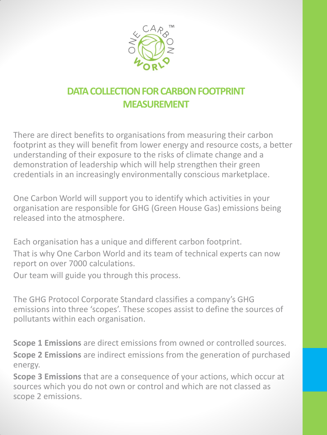

# **DATA COLLECTION FOR CARBON FOOTPRINT MEASUREMENT**

There are direct benefits to organisations from measuring their carbon footprint as they will benefit from lower energy and resource costs, a better understanding of their exposure to the risks of climate change and a demonstration of leadership which will help strengthen their green credentials in an increasingly environmentally conscious marketplace.

One Carbon World will support you to identify which activities in your organisation are responsible for GHG (Green House Gas) emissions being released into the atmosphere.

Each organisation has a unique and different carbon footprint. That is why One Carbon World and its team of technical experts can now report on over 7000 calculations.

Our team will guide you through this process.

The GHG Protocol Corporate Standard classifies a company's GHG emissions into three 'scopes'. These scopes assist to define the sources of pollutants within each organisation.

**Scope 1 Emissions** are direct emissions from owned or controlled sources. **Scope 2 Emissions** are indirect emissions from the generation of purchased energy.

**Scope 3 Emissions** that are a consequence of your actions, which occur at sources which you do not own or control and which are not classed as scope 2 emissions.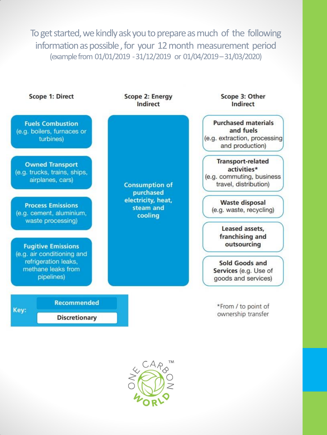To get started, we kindly ask you to prepare as much of the following information as possible , for your 12 month measurement period (example from 01/01/2019 -31/12/2019 or 01/04/2019 –31/03/2020)



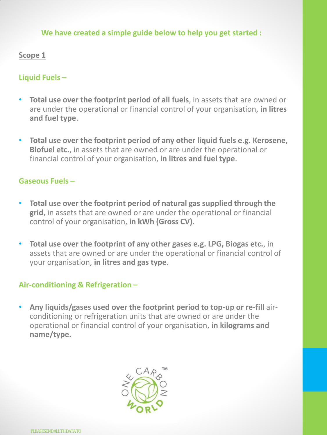### **We have created a simple guide below to help you get started :**

### **Scope 1**

# **Liquid Fuels –**

- **Total use over the footprint period of all fuels**, in assets that are owned or are under the operational or financial control of your organisation, **in litres and fuel type**.
- **Total use over the footprint period of any other liquid fuels e.g. Kerosene, Biofuel etc.**, in assets that are owned or are under the operational or financial control of your organisation, **in litres and fuel type**.

### **Gaseous Fuels –**

- **Total use over the footprint period of natural gas supplied through the grid**, in assets that are owned or are under the operational or financial control of your organisation, **in kWh (Gross CV)**.
- **Total use over the footprint of any other gases e.g. LPG, Biogas etc.**, in assets that are owned or are under the operational or financial control of your organisation, **in litres and gas type**.

### **Air-conditioning & Refrigeration –**

• **Any liquids/gases used over the footprint period to top-up or re-fill** airconditioning or refrigeration units that are owned or are under the operational or financial control of your organisation, **in kilograms and name/type.**

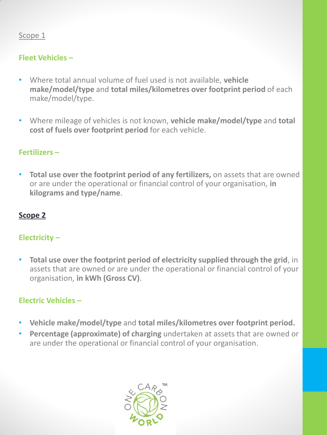# Scope 1

# **Fleet Vehicles –**

- Where total annual volume of fuel used is not available, **vehicle make/model/type** and **total miles/kilometres over footprint period** of each make/model/type.
- Where mileage of vehicles is not known, **vehicle make/model/type** and **total cost of fuels over footprint period** for each vehicle.

# **Fertilizers –**

• **Total use over the footprint period of any fertilizers,** on assets that are owned or are under the operational or financial control of your organisation, **in kilograms and type/name**.

### **Scope 2**

# **Electricity –**

• **Total use over the footprint period of electricity supplied through the grid**, in assets that are owned or are under the operational or financial control of your organisation, **in kWh (Gross CV)**.

# **Electric Vehicles –**

- **Vehicle make/model/type** and **total miles/kilometres over footprint period.**
- **Percentage (approximate) of charging** undertaken at assets that are owned or are under the operational or financial control of your organisation.

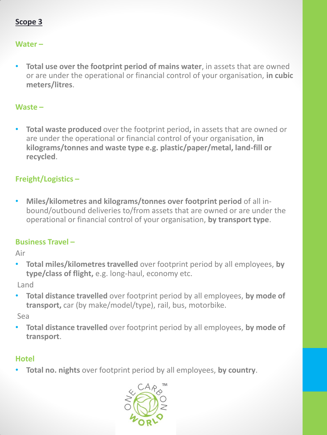# **Scope 3**

### **Water –**

• **Total use over the footprint period of mains water**, in assets that are owned or are under the operational or financial control of your organisation, **in cubic meters/litres**.

#### **Waste –**

• **Total waste produced** over the footprint period**,** in assets that are owned or are under the operational or financial control of your organisation, **in kilograms/tonnes and waste type e.g. plastic/paper/metal, land-fill or recycled**.

# **Freight/Logistics –**

• **Miles/kilometres and kilograms/tonnes over footprint period** of all inbound/outbound deliveries to/from assets that are owned or are under the operational or financial control of your organisation, **by transport type**.

### **Business Travel –**

Air

• **Total miles/kilometres travelled** over footprint period by all employees, **by type/class of flight,** e.g. long-haul, economy etc.

Land

• **Total distance travelled** over footprint period by all employees, **by mode of transport,** car (by make/model/type), rail, bus, motorbike.

Sea

• **Total distance travelled** over footprint period by all employees, **by mode of transport**.

#### **Hotel**

• **Total no. nights** over footprint period by all employees, **by country**.